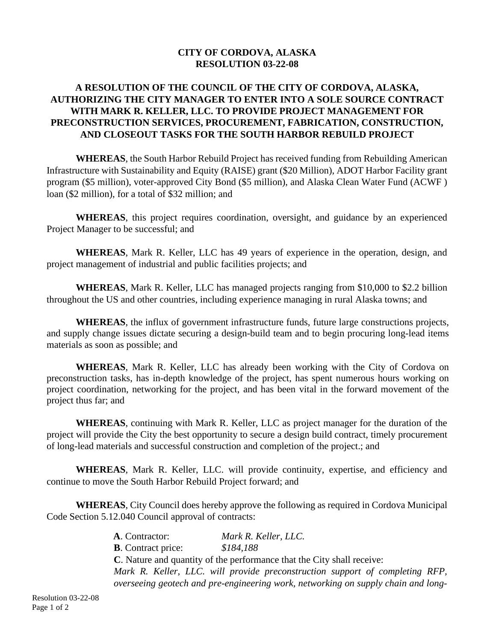## **CITY OF CORDOVA, ALASKA RESOLUTION 03-22-08**

## **A RESOLUTION OF THE COUNCIL OF THE CITY OF CORDOVA, ALASKA, AUTHORIZING THE CITY MANAGER TO ENTER INTO A SOLE SOURCE CONTRACT WITH MARK R. KELLER, LLC. TO PROVIDE PROJECT MANAGEMENT FOR PRECONSTRUCTION SERVICES, PROCUREMENT, FABRICATION, CONSTRUCTION, AND CLOSEOUT TASKS FOR THE SOUTH HARBOR REBUILD PROJECT**

**WHEREAS**, the South Harbor Rebuild Project has received funding from Rebuilding American Infrastructure with Sustainability and Equity (RAISE) grant (\$20 Million), ADOT Harbor Facility grant program (\$5 million), voter-approved City Bond (\$5 million), and Alaska Clean Water Fund (ACWF ) loan (\$2 million), for a total of \$32 million; and

**WHEREAS**, this project requires coordination, oversight, and guidance by an experienced Project Manager to be successful; and

**WHEREAS**, Mark R. Keller, LLC has 49 years of experience in the operation, design, and project management of industrial and public facilities projects; and

**WHEREAS**, Mark R. Keller, LLC has managed projects ranging from \$10,000 to \$2.2 billion throughout the US and other countries, including experience managing in rural Alaska towns; and

**WHEREAS**, the influx of government infrastructure funds, future large constructions projects, and supply change issues dictate securing a design-build team and to begin procuring long-lead items materials as soon as possible; and

**WHEREAS**, Mark R. Keller, LLC has already been working with the City of Cordova on preconstruction tasks, has in-depth knowledge of the project, has spent numerous hours working on project coordination, networking for the project, and has been vital in the forward movement of the project thus far; and

**WHEREAS**, continuing with Mark R. Keller, LLC as project manager for the duration of the project will provide the City the best opportunity to secure a design build contract, timely procurement of long-lead materials and successful construction and completion of the project.; and

**WHEREAS**, Mark R. Keller, LLC. will provide continuity, expertise, and efficiency and continue to move the South Harbor Rebuild Project forward; and

**WHEREAS**, City Council does hereby approve the following as required in Cordova Municipal Code Section 5.12.040 Council approval of contracts:

> **A**. Contractor: *Mark R. Keller, LLC.* **B**. Contract price: *\$184,188* **C**. Nature and quantity of the performance that the City shall receive: *Mark R. Keller, LLC. will provide preconstruction support of completing RFP, overseeing geotech and pre-engineering work, networking on supply chain and long-*